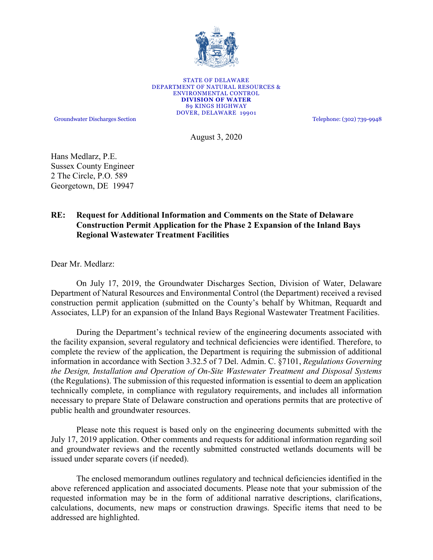

STATE OF DELAWARE DEPARTMENT OF NATURAL RESOURCES & ENVIRONMENTAL CONTROL **DIVISION OF WATER** 89 KINGS HIGHWAY DOVER, DELAWARE 19901

Groundwater Discharges Section Telephone: (302) 739-9948

August 3, 2020

Hans Medlarz, P.E. Sussex County Engineer 2 The Circle, P.O. 589 Georgetown, DE 19947

## **RE: Request for Additional Information and Comments on the State of Delaware Construction Permit Application for the Phase 2 Expansion of the Inland Bays Regional Wastewater Treatment Facilities**

Dear Mr. Medlarz:

On July 17, 2019, the Groundwater Discharges Section, Division of Water, Delaware Department of Natural Resources and Environmental Control (the Department) received a revised construction permit application (submitted on the County's behalf by Whitman, Requardt and Associates, LLP) for an expansion of the Inland Bays Regional Wastewater Treatment Facilities.

During the Department's technical review of the engineering documents associated with the facility expansion, several regulatory and technical deficiencies were identified. Therefore, to complete the review of the application, the Department is requiring the submission of additional information in accordance with Section 3.32.5 of 7 Del. Admin. C. §7101, *Regulations Governing the Design, Installation and Operation of On-Site Wastewater Treatment and Disposal Systems* (the Regulations). The submission of this requested information is essential to deem an application technically complete, in compliance with regulatory requirements, and includes all information necessary to prepare State of Delaware construction and operations permits that are protective of public health and groundwater resources.

Please note this request is based only on the engineering documents submitted with the July 17, 2019 application. Other comments and requests for additional information regarding soil and groundwater reviews and the recently submitted constructed wetlands documents will be issued under separate covers (if needed).

The enclosed memorandum outlines regulatory and technical deficiencies identified in the above referenced application and associated documents. Please note that your submission of the requested information may be in the form of additional narrative descriptions, clarifications, calculations, documents, new maps or construction drawings. Specific items that need to be addressed are highlighted.